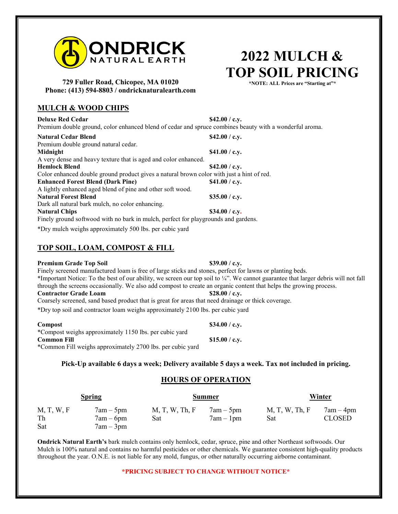

#### **729 Fuller Road, Chicopee, MA 01020 Phone: (413) 594-8803 / ondricknaturalearth.com**

## **MULCH & WOOD CHIPS**

**Deluxe Red Cedar \$42.00 / c.y.** Premium double ground, color enhanced blend of cedar and spruce combines beauty with a wonderful aroma. Natural Cedar Blend<br>
\$42.00 / c.y. Premium double ground natural cedar. **Midnight** \$41.00 / c.y. A very dense and heavy texture that is aged and color enhanced. **Hemlock Blend** \$42.00 / c.y. Color enhanced double ground product gives a natural brown color with just a hint of red. **Enhanced Forest Blend (Dark Pine) \$41.00 / c.y.**  A lightly enhanced aged blend of pine and other soft wood. Natural Forest Blend \$35.00 / c.y. Dark all natural bark mulch, no color enhancing. **Natural Chips \$34.00 / c.y.**  Finely ground softwood with no bark in mulch, perfect for playgrounds and gardens. \*Dry mulch weighs approximately 500 lbs. per cubic yard

# **TOP SOIL, LOAM, COMPOST & FILL**

### **Premium Grade Top Soil** \$39.00 / c.y.

Finely screened manufactured loam is free of large sticks and stones, perfect for lawns or planting beds. \*Important Notice: To the best of our ability, we screen our top soil to ¼". We cannot guarantee that larger debris will not fall through the screens occasionally. We also add compost to create an organic content that helps the growing process. **Contractor Grade Loam** \$28.00 / c.y. Coarsely screened, sand based product that is great for areas that need drainage or thick coverage.

\*Dry top soil and contractor loam weighs approximately 2100 lbs. per cubic yard

| Dry top son and contractor foam weighs approximately 2100 fos. per cable yard |  |  |  |
|-------------------------------------------------------------------------------|--|--|--|
|                                                                               |  |  |  |
|                                                                               |  |  |  |

| Compost                                                    | \$34.00 / c.v. |
|------------------------------------------------------------|----------------|
| *Compost weighs approximately 1150 lbs. per cubic yard     |                |
| <b>Common Fill</b>                                         | \$15.00 / c.v. |
| *Common Fill weighs approximately 2700 lbs. per cubic yard |                |

## **Pick-Up available 6 days a week; Delivery available 5 days a week. Tax not included in pricing.**

# **HOURS OF OPERATION**

| <b>Spring</b>           |                                           | <b>Summer</b>         |                            | <u>Winter</u>         |                              |
|-------------------------|-------------------------------------------|-----------------------|----------------------------|-----------------------|------------------------------|
| M, T, W, F<br>Th<br>Sat | $7am - 5pm$<br>$7am - 6pm$<br>$7am - 3pm$ | M, T, W, Th, F<br>Sat | $7am - 5pm$<br>$7am - 1pm$ | M, T, W, Th, F<br>Sat | $7am - 4pm$<br><b>CLOSED</b> |

**Ondrick Natural Earth's** bark mulch contains only hemlock, cedar, spruce, pine and other Northeast softwoods. Our Mulch is 100% natural and contains no harmful pesticides or other chemicals. We guarantee consistent high-quality products throughout the year. O.N.E. is not liable for any mold, fungus, or other naturally occurring airborne contaminant.

#### **\*PRICING SUBJECT TO CHANGE WITHOUT NOTICE\***

**2022 MULCH & TOP SOIL PRICING**

**\*NOTE: ALL Prices are "Starting at"\***